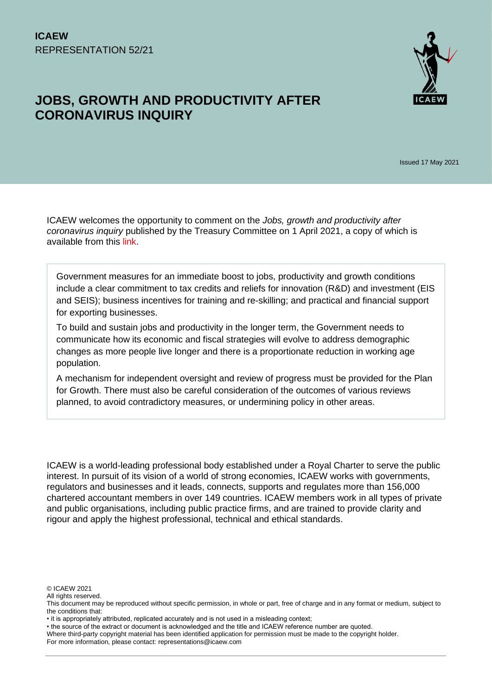# **JOBS, GROWTH AND PRODUCTIVITY AFTER CORONAVIRUS INQUIRY**



Issued 17 May 2021

ICAEW welcomes the opportunity to comment on the *Jobs, growth and productivity after coronavirus inquiry* published by the Treasury Committee on 1 April 2021, a copy of which is available from this [link.](https://committees.parliament.uk/work/1157/jobs-growth-and-productivity-after-coronavirus/)

Government measures for an immediate boost to jobs, productivity and growth conditions include a clear commitment to tax credits and reliefs for innovation (R&D) and investment (EIS and SEIS); business incentives for training and re-skilling; and practical and financial support for exporting businesses.

To build and sustain jobs and productivity in the longer term, the Government needs to communicate how its economic and fiscal strategies will evolve to address demographic changes as more people live longer and there is a proportionate reduction in working age population.

A mechanism for independent oversight and review of progress must be provided for the Plan for Growth. There must also be careful consideration of the outcomes of various reviews planned, to avoid contradictory measures, or undermining policy in other areas.

ICAEW is a world-leading professional body established under a Royal Charter to serve the public interest. In pursuit of its vision of a world of strong economies, ICAEW works with governments, regulators and businesses and it leads, connects, supports and regulates more than 156,000 chartered accountant members in over 149 countries. ICAEW members work in all types of private and public organisations, including public practice firms, and are trained to provide clarity and rigour and apply the highest professional, technical and ethical standards.

© ICAEW 2021

All rights reserved.

This document may be reproduced without specific permission, in whole or part, free of charge and in any format or medium, subject to the conditions that:

<sup>•</sup> it is appropriately attributed, replicated accurately and is not used in a misleading context;

<sup>•</sup> the source of the extract or document is acknowledged and the title and ICAEW reference number are quoted.

Where third-party copyright material has been identified application for permission must be made to the copyright holder.

For more information, please contact: representations@icaew.com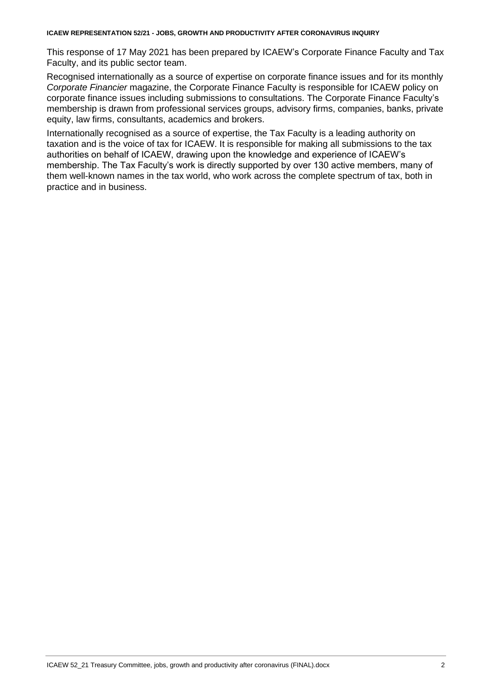**ICAEW REPRESENTATION 52/21 - JOBS, GROWTH AND PRODUCTIVITY AFTER CORONAVIRUS INQUIRY**

This response of 17 May 2021 has been prepared by ICAEW's Corporate Finance Faculty and Tax Faculty, and its public sector team.

Recognised internationally as a source of expertise on corporate finance issues and for its monthly *Corporate Financier* magazine, the Corporate Finance Faculty is responsible for ICAEW policy on corporate finance issues including submissions to consultations. The Corporate Finance Faculty's membership is drawn from professional services groups, advisory firms, companies, banks, private equity, law firms, consultants, academics and brokers.

Internationally recognised as a source of expertise, the Tax Faculty is a leading authority on taxation and is the voice of tax for ICAEW. It is responsible for making all submissions to the tax authorities on behalf of ICAEW, drawing upon the knowledge and experience of ICAEW's membership. The Tax Faculty's work is directly supported by over 130 active members, many of them well-known names in the tax world, who work across the complete spectrum of tax, both in practice and in business.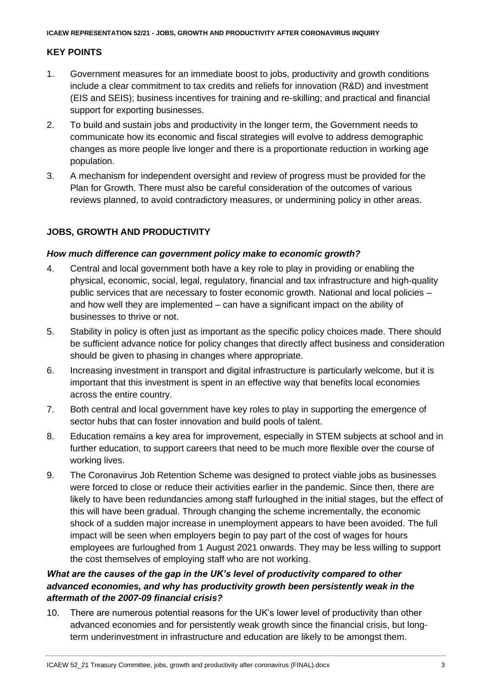## **KEY POINTS**

- 1. Government measures for an immediate boost to jobs, productivity and growth conditions include a clear commitment to tax credits and reliefs for innovation (R&D) and investment (EIS and SEIS); business incentives for training and re-skilling; and practical and financial support for exporting businesses.
- 2. To build and sustain jobs and productivity in the longer term, the Government needs to communicate how its economic and fiscal strategies will evolve to address demographic changes as more people live longer and there is a proportionate reduction in working age population.
- 3. A mechanism for independent oversight and review of progress must be provided for the Plan for Growth. There must also be careful consideration of the outcomes of various reviews planned, to avoid contradictory measures, or undermining policy in other areas.

# **JOBS, GROWTH AND PRODUCTIVITY**

#### *How much difference can government policy make to economic growth?*

- 4. Central and local government both have a key role to play in providing or enabling the physical, economic, social, legal, regulatory, financial and tax infrastructure and high-quality public services that are necessary to foster economic growth. National and local policies – and how well they are implemented – can have a significant impact on the ability of businesses to thrive or not.
- 5. Stability in policy is often just as important as the specific policy choices made. There should be sufficient advance notice for policy changes that directly affect business and consideration should be given to phasing in changes where appropriate.
- 6. Increasing investment in transport and digital infrastructure is particularly welcome, but it is important that this investment is spent in an effective way that benefits local economies across the entire country.
- 7. Both central and local government have key roles to play in supporting the emergence of sector hubs that can foster innovation and build pools of talent.
- 8. Education remains a key area for improvement, especially in STEM subjects at school and in further education, to support careers that need to be much more flexible over the course of working lives.
- 9. The Coronavirus Job Retention Scheme was designed to protect viable jobs as businesses were forced to close or reduce their activities earlier in the pandemic. Since then, there are likely to have been redundancies among staff furloughed in the initial stages, but the effect of this will have been gradual. Through changing the scheme incrementally, the economic shock of a sudden major increase in unemployment appears to have been avoided. The full impact will be seen when employers begin to pay part of the cost of wages for hours employees are furloughed from 1 August 2021 onwards. They may be less willing to support the cost themselves of employing staff who are not working.

### *What are the causes of the gap in the UK's level of productivity compared to other advanced economies, and why has productivity growth been persistently weak in the aftermath of the 2007-09 financial crisis?*

10. There are numerous potential reasons for the UK's lower level of productivity than other advanced economies and for persistently weak growth since the financial crisis, but longterm underinvestment in infrastructure and education are likely to be amongst them.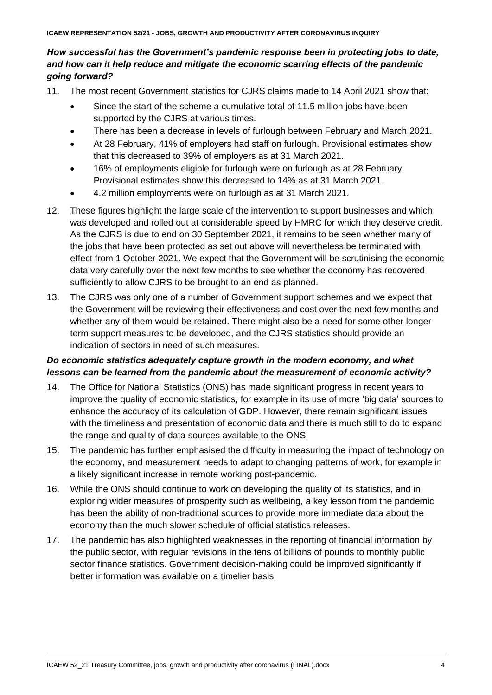#### *How successful has the Government's pandemic response been in protecting jobs to date, and how can it help reduce and mitigate the economic scarring effects of the pandemic going forward?*

- 11. The most recent Government statistics for CJRS claims made to 14 April 2021 show that:
	- Since the start of the scheme a cumulative total of 11.5 million jobs have been supported by the CJRS at various times.
	- There has been a decrease in levels of furlough between February and March 2021.
	- At 28 February, 41% of employers had staff on furlough. Provisional estimates show that this decreased to 39% of employers as at 31 March 2021.
	- 16% of employments eligible for furlough were on furlough as at 28 February. Provisional estimates show this decreased to 14% as at 31 March 2021.
	- 4.2 million employments were on furlough as at 31 March 2021.
- 12. These figures highlight the large scale of the intervention to support businesses and which was developed and rolled out at considerable speed by HMRC for which they deserve credit. As the CJRS is due to end on 30 September 2021, it remains to be seen whether many of the jobs that have been protected as set out above will nevertheless be terminated with effect from 1 October 2021. We expect that the Government will be scrutinising the economic data very carefully over the next few months to see whether the economy has recovered sufficiently to allow CJRS to be brought to an end as planned.
- 13. The CJRS was only one of a number of Government support schemes and we expect that the Government will be reviewing their effectiveness and cost over the next few months and whether any of them would be retained. There might also be a need for some other longer term support measures to be developed, and the CJRS statistics should provide an indication of sectors in need of such measures.

# *Do economic statistics adequately capture growth in the modern economy, and what lessons can be learned from the pandemic about the measurement of economic activity?*

- 14. The Office for National Statistics (ONS) has made significant progress in recent years to improve the quality of economic statistics, for example in its use of more 'big data' sources to enhance the accuracy of its calculation of GDP. However, there remain significant issues with the timeliness and presentation of economic data and there is much still to do to expand the range and quality of data sources available to the ONS.
- 15. The pandemic has further emphasised the difficulty in measuring the impact of technology on the economy, and measurement needs to adapt to changing patterns of work, for example in a likely significant increase in remote working post-pandemic.
- 16. While the ONS should continue to work on developing the quality of its statistics, and in exploring wider measures of prosperity such as wellbeing, a key lesson from the pandemic has been the ability of non-traditional sources to provide more immediate data about the economy than the much slower schedule of official statistics releases.
- 17. The pandemic has also highlighted weaknesses in the reporting of financial information by the public sector, with regular revisions in the tens of billions of pounds to monthly public sector finance statistics. Government decision-making could be improved significantly if better information was available on a timelier basis.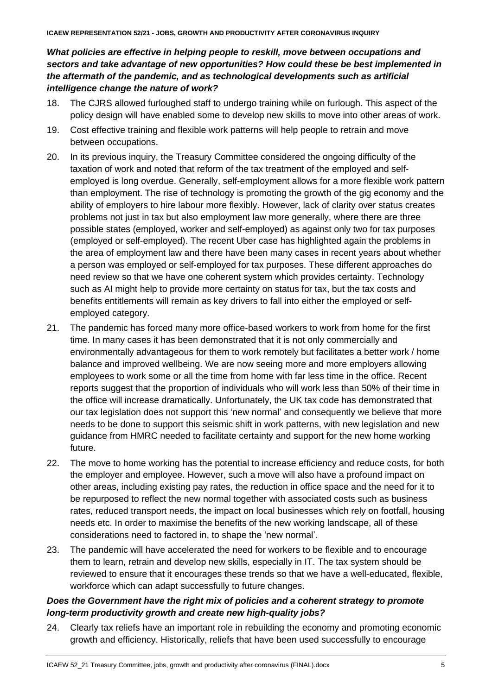*What policies are effective in helping people to reskill, move between occupations and sectors and take advantage of new opportunities? How could these be best implemented in the aftermath of the pandemic, and as technological developments such as artificial intelligence change the nature of work?*

- 18. The CJRS allowed furloughed staff to undergo training while on furlough. This aspect of the policy design will have enabled some to develop new skills to move into other areas of work.
- 19. Cost effective training and flexible work patterns will help people to retrain and move between occupations.
- 20. In its previous inquiry, the Treasury Committee considered the ongoing difficulty of the taxation of work and noted that reform of the tax treatment of the employed and selfemployed is long overdue. Generally, self-employment allows for a more flexible work pattern than employment. The rise of technology is promoting the growth of the gig economy and the ability of employers to hire labour more flexibly. However, lack of clarity over status creates problems not just in tax but also employment law more generally, where there are three possible states (employed, worker and self-employed) as against only two for tax purposes (employed or self-employed). The recent Uber case has highlighted again the problems in the area of employment law and there have been many cases in recent years about whether a person was employed or self-employed for tax purposes. These different approaches do need review so that we have one coherent system which provides certainty. Technology such as AI might help to provide more certainty on status for tax, but the tax costs and benefits entitlements will remain as key drivers to fall into either the employed or selfemployed category.
- 21. The pandemic has forced many more office-based workers to work from home for the first time. In many cases it has been demonstrated that it is not only commercially and environmentally advantageous for them to work remotely but facilitates a better work / home balance and improved wellbeing. We are now seeing more and more employers allowing employees to work some or all the time from home with far less time in the office. Recent reports suggest that the proportion of individuals who will work less than 50% of their time in the office will increase dramatically. Unfortunately, the UK tax code has demonstrated that our tax legislation does not support this 'new normal' and consequently we believe that more needs to be done to support this seismic shift in work patterns, with new legislation and new guidance from HMRC needed to facilitate certainty and support for the new home working future.
- 22. The move to home working has the potential to increase efficiency and reduce costs, for both the employer and employee. However, such a move will also have a profound impact on other areas, including existing pay rates, the reduction in office space and the need for it to be repurposed to reflect the new normal together with associated costs such as business rates, reduced transport needs, the impact on local businesses which rely on footfall, housing needs etc. In order to maximise the benefits of the new working landscape, all of these considerations need to factored in, to shape the 'new normal'.
- 23. The pandemic will have accelerated the need for workers to be flexible and to encourage them to learn, retrain and develop new skills, especially in IT. The tax system should be reviewed to ensure that it encourages these trends so that we have a well-educated, flexible, workforce which can adapt successfully to future changes.

## *Does the Government have the right mix of policies and a coherent strategy to promote long-term productivity growth and create new high-quality jobs?*

24. Clearly tax reliefs have an important role in rebuilding the economy and promoting economic growth and efficiency. Historically, reliefs that have been used successfully to encourage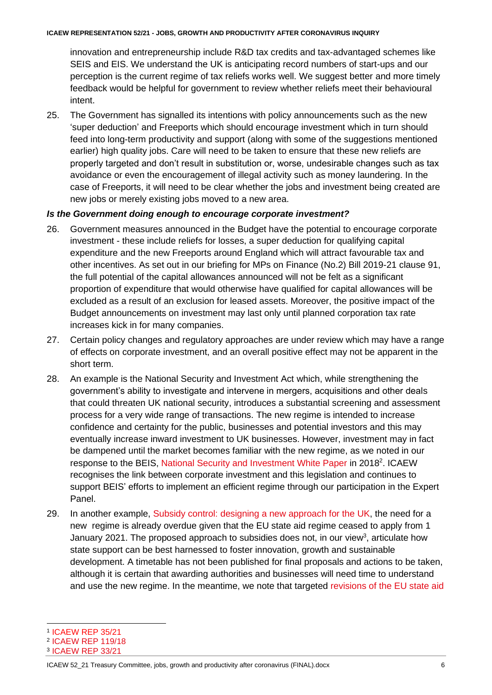#### **ICAEW REPRESENTATION 52/21 - JOBS, GROWTH AND PRODUCTIVITY AFTER CORONAVIRUS INQUIRY**

innovation and entrepreneurship include R&D tax credits and tax-advantaged schemes like SEIS and EIS. We understand the UK is anticipating record numbers of start-ups and our perception is the current regime of tax reliefs works well. We suggest better and more timely feedback would be helpful for government to review whether reliefs meet their behavioural intent.

25. The Government has signalled its intentions with policy announcements such as the new 'super deduction' and Freeports which should encourage investment which in turn should feed into long-term productivity and support (along with some of the suggestions mentioned earlier) high quality jobs. Care will need to be taken to ensure that these new reliefs are properly targeted and don't result in substitution or, worse, undesirable changes such as tax avoidance or even the encouragement of illegal activity such as money laundering. In the case of Freeports, it will need to be clear whether the jobs and investment being created are new jobs or merely existing jobs moved to a new area.

#### *Is the Government doing enough to encourage corporate investment?*

- 26. Government measures announced in the Budget have the potential to encourage corporate investment - these include reliefs for losses, a super deduction for qualifying capital expenditure and the new Freeports around England which will attract favourable tax and other incentives. As set out in our briefing for MPs on Finance (No.2) Bill 2019-21 clause 91, the full potential of the capital allowances announced will not be felt as a significant proportion of expenditure that would otherwise have qualified for capital allowances will be excluded as a result of an exclusion for leased assets. Moreover, the positive impact of the Budget announcements on investment may last only until planned corporation tax rate increases kick in for many companies.
- 27. Certain policy changes and regulatory approaches are under review which may have a range of effects on corporate investment, and an overall positive effect may not be apparent in the short term.
- 28. An example is the National Security and Investment Act which, while strengthening the government's ability to investigate and intervene in mergers, acquisitions and other deals that could threaten UK national security, introduces a substantial screening and assessment process for a very wide range of transactions. The new regime is intended to increase confidence and certainty for the public, businesses and potential investors and this may eventually increase inward investment to UK businesses. However, investment may in fact be dampened until the market becomes familiar with the new regime, as we noted in our response to the BEIS, [National Security and Investment White Paper](https://www.gov.uk/government/consultations/national-security-and-investment-proposed-reforms) in 2018<sup>2</sup>. ICAEW recognises the link between corporate investment and this legislation and continues to support BEIS' efforts to implement an efficient regime through our participation in the Expert Panel.
- 29. In another example, [Subsidy control: designing a](https://www.gov.uk/government/consultations/subsidy-control-designing-a-new-approach-for-the-uk) new approach for the UK, the need for a new regime is already overdue given that the EU state aid regime ceased to apply from 1 January 2021. The proposed approach to subsidies does not, in our view<sup>3</sup>, articulate how state support can be best harnessed to foster innovation, growth and sustainable development. A timetable has not been published for final proposals and actions to be taken, although it is certain that awarding authorities and businesses will need time to understand and use the new regime. In the meantime, we note that targeted [revisions of the EU state aid](https://ec.europa.eu/commission/presscorner/detail/en/ip_21_1605)

<sup>1</sup> [ICAEW REP 35/21](https://www.icaew.com/-/media/corporate/files/technical/icaew-representations/2021/icaew-rep-35-21-f2b19-21-clause-9-super-deductions-and-other-temporary-first-year-allowances.ashx)

<sup>2</sup> [ICAEW REP 119/18](https://icaew.access.preservica.com/index.php/IO_078440ae-5d28-480a-a844-d704a0d7ba41/)

<sup>3</sup> [ICAEW REP 33/21](https://www.icaew.com/-/media/corporate/files/technical/icaew-representations/2021/icaew-rep-33-21-subsidy-control---designing-a-new-approach-for-the-uk.ashx)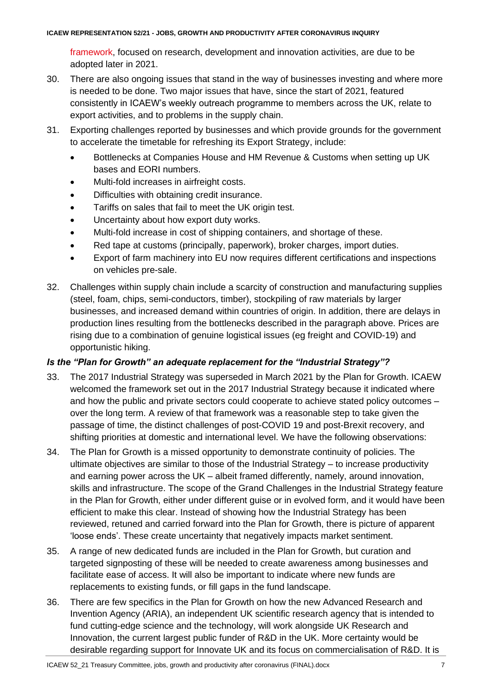[framework,](https://ec.europa.eu/commission/presscorner/detail/en/ip_21_1605) focused on research, development and innovation activities, are due to be adopted later in 2021.

- 30. There are also ongoing issues that stand in the way of businesses investing and where more is needed to be done. Two major issues that have, since the start of 2021, featured consistently in ICAEW's weekly outreach programme to members across the UK, relate to export activities, and to problems in the supply chain.
- 31. Exporting challenges reported by businesses and which provide grounds for the government to accelerate the timetable for refreshing its Export Strategy, include:
	- Bottlenecks at Companies House and HM Revenue & Customs when setting up UK bases and EORI numbers.
	- Multi-fold increases in airfreight costs.
	- Difficulties with obtaining credit insurance.
	- Tariffs on sales that fail to meet the UK origin test.
	- Uncertainty about how export duty works.
	- Multi-fold increase in cost of shipping containers, and shortage of these.
	- Red tape at customs (principally, paperwork), broker charges, import duties.
	- Export of farm machinery into EU now requires different certifications and inspections on vehicles pre-sale.
- 32. Challenges within supply chain include a scarcity of construction and manufacturing supplies (steel, foam, chips, semi-conductors, timber), stockpiling of raw materials by larger businesses, and increased demand within countries of origin. In addition, there are delays in production lines resulting from the bottlenecks described in the paragraph above. Prices are rising due to a combination of genuine logistical issues (eg freight and COVID-19) and opportunistic hiking.

#### *Is the "Plan for Growth" an adequate replacement for the "Industrial Strategy"?*

- 33. The 2017 Industrial Strategy was superseded in March 2021 by the Plan for Growth. ICAEW welcomed the framework set out in the 2017 Industrial Strategy because it indicated where and how the public and private sectors could cooperate to achieve stated policy outcomes – over the long term. A review of that framework was a reasonable step to take given the passage of time, the distinct challenges of post-COVID 19 and post-Brexit recovery, and shifting priorities at domestic and international level. We have the following observations:
- 34. The Plan for Growth is a missed opportunity to demonstrate continuity of policies. The ultimate objectives are similar to those of the Industrial Strategy – to increase productivity and earning power across the UK – albeit framed differently, namely, around innovation, skills and infrastructure. The scope of the Grand Challenges in the Industrial Strategy feature in the Plan for Growth, either under different guise or in evolved form, and it would have been efficient to make this clear. Instead of showing how the Industrial Strategy has been reviewed, retuned and carried forward into the Plan for Growth, there is picture of apparent 'loose ends'. These create uncertainty that negatively impacts market sentiment.
- 35. A range of new dedicated funds are included in the Plan for Growth, but curation and targeted signposting of these will be needed to create awareness among businesses and facilitate ease of access. It will also be important to indicate where new funds are replacements to existing funds, or fill gaps in the fund landscape.
- 36. There are few specifics in the Plan for Growth on how the new Advanced Research and Invention Agency (ARIA), an independent UK scientific research agency that is intended to fund cutting-edge science and the technology, will work alongside UK Research and Innovation, the current largest public funder of R&D in the UK. More certainty would be desirable regarding support for Innovate UK and its focus on commercialisation of R&D. It is